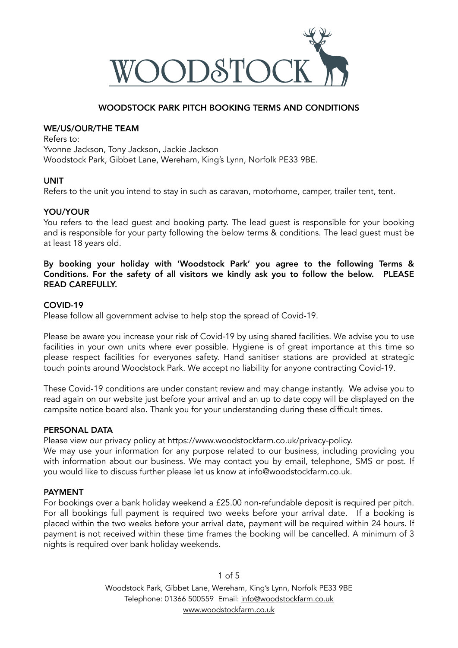

## WOODSTOCK PARK PITCH BOOKING TERMS AND CONDITIONS

## WE/US/OUR/THE TEAM

Refers to: Yvonne Jackson, Tony Jackson, Jackie Jackson Woodstock Park, Gibbet Lane, Wereham, King's Lynn, Norfolk PE33 9BE.

## UNIT

Refers to the unit you intend to stay in such as caravan, motorhome, camper, trailer tent, tent.

## YOU/YOUR

You refers to the lead guest and booking party. The lead guest is responsible for your booking and is responsible for your party following the below terms & conditions. The lead guest must be at least 18 years old.

By booking your holiday with 'Woodstock Park' you agree to the following Terms & Conditions. For the safety of all visitors we kindly ask you to follow the below. PLEASE READ CAREFULLY.

## COVID-19

Please follow all government advise to help stop the spread of Covid-19.

Please be aware you increase your risk of Covid-19 by using shared facilities. We advise you to use facilities in your own units where ever possible. Hygiene is of great importance at this time so please respect facilities for everyones safety. Hand sanitiser stations are provided at strategic touch points around Woodstock Park. We accept no liability for anyone contracting Covid-19.

These Covid-19 conditions are under constant review and may change instantly. We advise you to read again on our website just before your arrival and an up to date copy will be displayed on the campsite notice board also. Thank you for your understanding during these difficult times.

#### PERSONAL DATA

Please view our privacy policy at https://www.woodstockfarm.co.uk/privacy-policy.

We may use your information for any purpose related to our business, including providing you with information about our business. We may contact you by email, telephone, SMS or post. If you would like to discuss further please let us know at info@woodstockfarm.co.uk.

## PAYMENT

For bookings over a bank holiday weekend a £25.00 non-refundable deposit is required per pitch. For all bookings full payment is required two weeks before your arrival date. If a booking is placed within the two weeks before your arrival date, payment will be required within 24 hours. If payment is not received within these time frames the booking will be cancelled. A minimum of 3 nights is required over bank holiday weekends.

> 1 of 5 Woodstock Park, Gibbet Lane, Wereham, King's Lynn, Norfolk PE33 9BE Telephone: 01366 500559 Email: [info@woodstockfarm.co.uk](mailto:info@woodstockfarm.co.uk) [www.woodstockfarm.co.uk](http://www.woodstockfarm.co.uk)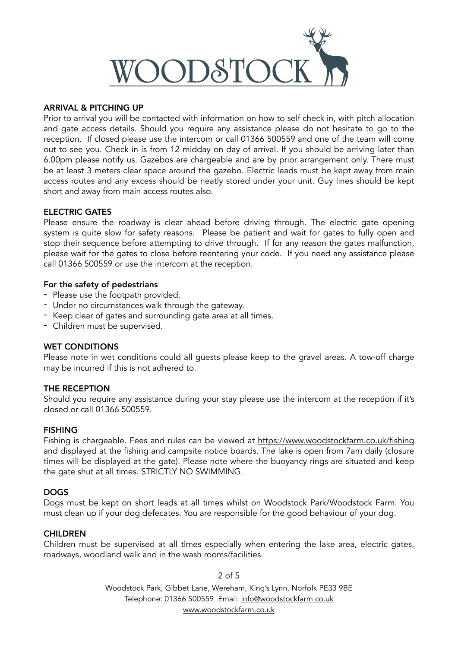

## ARRIVAL & PITCHING UP

Prior to arrival you will be contacted with information on how to self check in, with pitch allocation and gate access details. Should you require any assistance please do not hesitate to go to the reception. If closed please use the intercom or call 01366 500559 and one of the team will come out to see you. Check in is from 12 midday on day of arrival. If you should be arriving later than 6.00pm please notify us. Gazebos are chargeable and are by prior arrangement only. There must be at least 3 meters clear space around the gazebo. Electric leads must be kept away from main access routes and any excess should be neatly stored under your unit. Guy lines should be kept short and away from main access routes also.

## ELECTRIC GATES

Please ensure the roadway is clear ahead before driving through. The electric gate opening system is quite slow for safety reasons. Please be patient and wait for gates to fully open and stop their sequence before attempting to drive through. If for any reason the gates malfunction, please wait for the gates to close before reentering your code. If you need any assistance please call 01366 500559 or use the intercom at the reception.

#### For the safety of pedestrians

- Please use the footpath provided.
- Under no circumstances walk through the gateway.
- Keep clear of gates and surrounding gate area at all times.
- Children must be supervised.

#### WET CONDITIONS

Please note in wet conditions could all guests please keep to the gravel areas. A tow-off charge may be incurred if this is not adhered to.

#### THE RECEPTION

Should you require any assistance during your stay please use the intercom at the reception if it's closed or call 01366 500559.

#### **FISHING**

Fishing is chargeable. Fees and rules can be viewed at <https://www.woodstockfarm.co.uk/fishing> and displayed at the fishing and campsite notice boards. The lake is open from 7am daily (closure times will be displayed at the gate). Please note where the buoyancy rings are situated and keep the gate shut at all times. STRICTLY NO SWIMMING.

#### DOGS

Dogs must be kept on short leads at all times whilst on Woodstock Park/Woodstock Farm. You must clean up if your dog defecates. You are responsible for the good behaviour of your dog.

#### **CHILDREN**

Children must be supervised at all times especially when entering the lake area, electric gates, roadways, woodland walk and in the wash rooms/facilities.

> 2 of 5 Woodstock Park, Gibbet Lane, Wereham, King's Lynn, Norfolk PE33 9BE Telephone: 01366 500559 Email: [info@woodstockfarm.co.uk](mailto:info@woodstockfarm.co.uk) [www.woodstockfarm.co.uk](http://www.woodstockfarm.co.uk)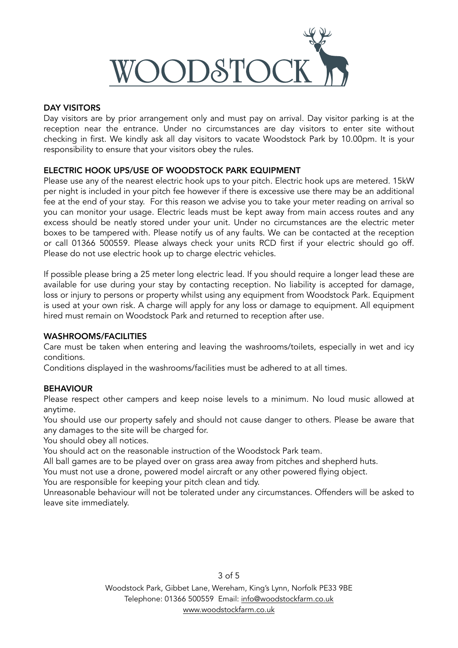

## DAY VISITORS

Day visitors are by prior arrangement only and must pay on arrival. Day visitor parking is at the reception near the entrance. Under no circumstances are day visitors to enter site without checking in first. We kindly ask all day visitors to vacate Woodstock Park by 10.00pm. It is your responsibility to ensure that your visitors obey the rules.

## ELECTRIC HOOK UPS/USE OF WOODSTOCK PARK EQUIPMENT

Please use any of the nearest electric hook ups to your pitch. Electric hook ups are metered. 15kW per night is included in your pitch fee however if there is excessive use there may be an additional fee at the end of your stay. For this reason we advise you to take your meter reading on arrival so you can monitor your usage. Electric leads must be kept away from main access routes and any excess should be neatly stored under your unit. Under no circumstances are the electric meter boxes to be tampered with. Please notify us of any faults. We can be contacted at the reception or call 01366 500559. Please always check your units RCD first if your electric should go off. Please do not use electric hook up to charge electric vehicles.

If possible please bring a 25 meter long electric lead. If you should require a longer lead these are available for use during your stay by contacting reception. No liability is accepted for damage, loss or injury to persons or property whilst using any equipment from Woodstock Park. Equipment is used at your own risk. A charge will apply for any loss or damage to equipment. All equipment hired must remain on Woodstock Park and returned to reception after use.

## WASHROOMS/FACILITIES

Care must be taken when entering and leaving the washrooms/toilets, especially in wet and icy conditions.

Conditions displayed in the washrooms/facilities must be adhered to at all times.

## **BEHAVIOUR**

Please respect other campers and keep noise levels to a minimum. No loud music allowed at anytime.

You should use our property safely and should not cause danger to others. Please be aware that any damages to the site will be charged for.

You should obey all notices.

You should act on the reasonable instruction of the Woodstock Park team.

All ball games are to be played over on grass area away from pitches and shepherd huts.

You must not use a drone, powered model aircraft or any other powered flying object.

You are responsible for keeping your pitch clean and tidy.

Unreasonable behaviour will not be tolerated under any circumstances. Offenders will be asked to leave site immediately.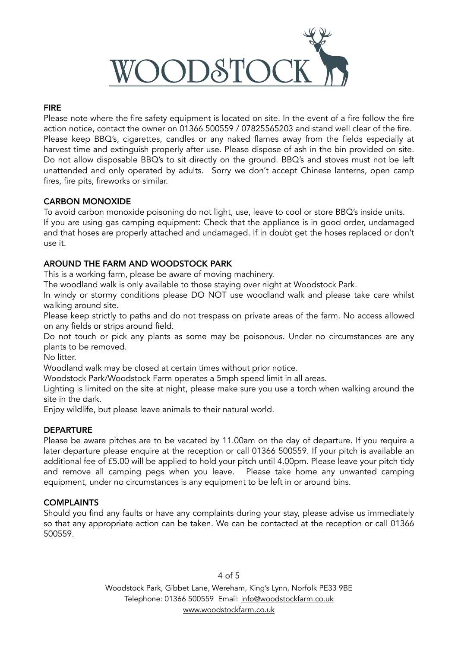

# FIRE

Please note where the fire safety equipment is located on site. In the event of a fire follow the fire action notice, contact the owner on 01366 500559 / 07825565203 and stand well clear of the fire. Please keep BBQ's, cigarettes, candles or any naked flames away from the fields especially at harvest time and extinguish properly after use. Please dispose of ash in the bin provided on site. Do not allow disposable BBQ's to sit directly on the ground. BBQ's and stoves must not be left unattended and only operated by adults. Sorry we don't accept Chinese lanterns, open camp fires, fire pits, fireworks or similar.

# CARBON MONOXIDE

To avoid carbon monoxide poisoning do not light, use, leave to cool or store BBQ's inside units. If you are using gas camping equipment: Check that the appliance is in good order, undamaged and that hoses are properly attached and undamaged. If in doubt get the hoses replaced or don't use it.

# AROUND THE FARM AND WOODSTOCK PARK

This is a working farm, please be aware of moving machinery.

The woodland walk is only available to those staying over night at Woodstock Park.

In windy or stormy conditions please DO NOT use woodland walk and please take care whilst walking around site.

Please keep strictly to paths and do not trespass on private areas of the farm. No access allowed on any fields or strips around field.

Do not touch or pick any plants as some may be poisonous. Under no circumstances are any plants to be removed.

No litter.

Woodland walk may be closed at certain times without prior notice.

Woodstock Park/Woodstock Farm operates a 5mph speed limit in all areas.

Lighting is limited on the site at night, please make sure you use a torch when walking around the site in the dark.

Enjoy wildlife, but please leave animals to their natural world.

## **DEPARTURE**

Please be aware pitches are to be vacated by 11.00am on the day of departure. If you require a later departure please enquire at the reception or call 01366 500559. If your pitch is available an additional fee of £5.00 will be applied to hold your pitch until 4.00pm. Please leave your pitch tidy and remove all camping pegs when you leave. Please take home any unwanted camping equipment, under no circumstances is any equipment to be left in or around bins.

## **COMPLAINTS**

Should you find any faults or have any complaints during your stay, please advise us immediately so that any appropriate action can be taken. We can be contacted at the reception or call 01366 500559.

> Woodstock Park, Gibbet Lane, Wereham, King's Lynn, Norfolk PE33 9BE Telephone: 01366 500559 Email: [info@woodstockfarm.co.uk](mailto:info@woodstockfarm.co.uk) [www.woodstockfarm.co.uk](http://www.woodstockfarm.co.uk)

## 4 of 5